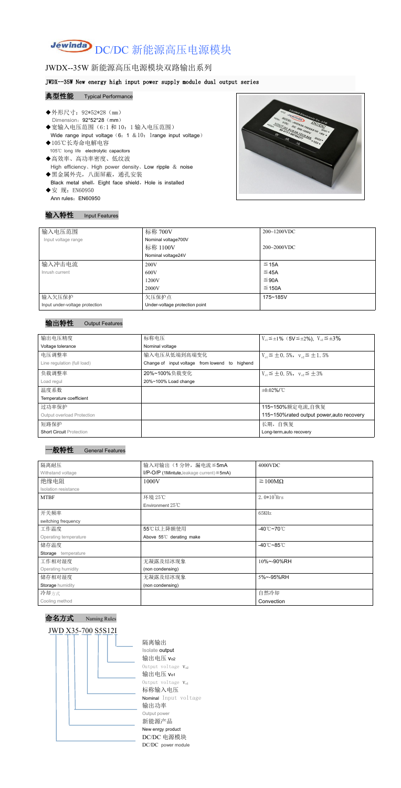# Jewinda DC/DC 新能源高压电源模块

# JWDX--35W 新能源高压电源模块双路输出系列

### JWDX--35W New energy high input power supply module dual output series

### 典型性能 Typical Performance

- ◆外形尺寸: 92\*52\*28 (mm) Dimension: 92\*52\*28 (mm) ◆宽输入电压范围(6:1和 10: 1 输入电压范围) Wide range input voltage  $(6: 1 \& 10:1$ range input voltage) ◆105℃长寿命电解电容 105℃ long life electrolytic capacitors ◆高效率、高功率密度、低纹波 High efficiency、High power density、Low ripple & noise ◆黑金属外壳,八面屏蔽,通孔安装 Black metal shell, Eight face shield, Hole is installed ◆安 规: EN60950
- Ann rules: EN60950



### 输入特性 Input Features

| 输入电压范围                         | 标称 700V                        | $200 - 1200$ VDC |
|--------------------------------|--------------------------------|------------------|
| Input voltage range            | Nominal voltage700V            |                  |
|                                | 标称 1100V                       | $200 - 2000$ VDC |
|                                | Nominal voltage24V             |                  |
| 输入冲击电流                         | 200V                           | $\leq$ 15A       |
| Inrush current                 | 600V                           | ≤ 45A            |
|                                | 1200V                          | ≤90A             |
|                                | 2000V                          | $\leq$ 150A      |
| 输入欠压保护                         | 欠压保护点                          | 175~185V         |
| Input under-voltage protection | Under-voltage protection point |                  |

### 输出特性 Output Features



命名方式 Naming Rules



隔离输出 Isolate output 输出电压 vo2 Output voltage  $V_{o2}$ 输出电压 Vo1 Output voltage  $V_{o1}$ 标称输入电压 Nominal Input voltage 输出功率 Output power 新能源产品 New enrgy product DC/DC 电源模块 DC/DC power module

| 输出电压精度<br>标称电压<br>$V_{01} \le \pm 1\%$ (5V $\le \pm 2\%$ ), $V_{02} \le \pm 3\%$<br>Voltage tolerance<br>Nominal voltage<br>电压调整率<br>输入电压从低端到高端变化<br>$V_{01} \leq \pm 0.5\%$ , $V_{02} \leq \pm 1.5\%$<br>Change of input voltage from lowend to highend<br>Line regulation (full load) |
|-----------------------------------------------------------------------------------------------------------------------------------------------------------------------------------------------------------------------------------------------------------------------------------------|
|                                                                                                                                                                                                                                                                                         |
|                                                                                                                                                                                                                                                                                         |
|                                                                                                                                                                                                                                                                                         |
|                                                                                                                                                                                                                                                                                         |
| 负载调整率<br>20%~100%负载变化<br>$V_{01} \leq \pm 0.5\%$ , $V_{02} \leq \pm 3\%$                                                                                                                                                                                                                |
| 20%~100% Load change<br>Load regul                                                                                                                                                                                                                                                      |
| 温度系数<br>$\pm 0.02\%$ /°C                                                                                                                                                                                                                                                                |
| Temperature coefficient                                                                                                                                                                                                                                                                 |
| 过功率保护<br>115~150%额定电流,自恢复                                                                                                                                                                                                                                                               |
| Output overload Protection<br>115~150% rated output power, auto recovery                                                                                                                                                                                                                |
| 短路保护<br>长期, 自恢复                                                                                                                                                                                                                                                                         |
| <b>Short Circuit Protection</b><br>Long-term, auto recovery                                                                                                                                                                                                                             |

| 隔离耐压                  | 输入对输出(1分钟,漏电流≦5mA                                  | 4000VDC                           |
|-----------------------|----------------------------------------------------|-----------------------------------|
| Withstand voltage     | $I/P$ -O/P (1Mintute, leakage current) $\leq$ 5mA) |                                   |
| 绝缘电阻                  | 1000V                                              | $\geq 100M\Omega$                 |
| Isolation resistance  |                                                    |                                   |
| <b>MTBF</b>           | 环境 25℃                                             | $2.0*10^5$ Hrs                    |
|                       | Environment 25°C                                   |                                   |
| 开关频率                  |                                                    | 65KHz                             |
| switching frequency   |                                                    |                                   |
| 工作温度                  | 55℃以上降额使用                                          | $-40^{\circ}$ C $-70^{\circ}$ C   |
| Operating temperature | Above 55°C derating make                           |                                   |
| 储存温度                  |                                                    | -40 $^{\circ}$ C ~85 $^{\circ}$ C |
| Storage temperature   |                                                    |                                   |
| 工作相对湿度                | 无凝露及结冰现象                                           | 10%~-90%RH                        |
| Operating humidity    | (non condensing)                                   |                                   |
| 储存相对湿度                | 无凝露及结冰现象                                           | 5%~-95%RH                         |
| Storage humidity      | (non condensing)                                   |                                   |
| 冷却方式                  |                                                    | 自然冷却                              |
| Cooling method        |                                                    | Convection                        |